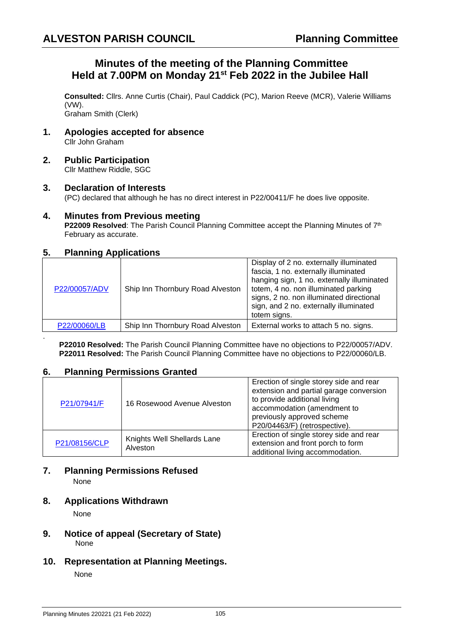# **Minutes of the meeting of the Planning Committee Held at 7.00PM on Monday 21st Feb 2022 in the Jubilee Hall**

**Consulted:** Cllrs. Anne Curtis (Chair), Paul Caddick (PC), Marion Reeve (MCR), Valerie Williams (VW).

Graham Smith (Clerk)

- **1. Apologies accepted for absence** Cllr John Graham
- **2. Public Participation** Cllr Matthew Riddle, SGC

## **3. Declaration of Interests**

(PC) declared that although he has no direct interest in P22/00411/F he does live opposite.

## **4. Minutes from Previous meeting**

**P22009 Resolved**: The Parish Council Planning Committee accept the Planning Minutes of 7<sup>th</sup> February as accurate.

# **5. Planning Applications**

| P22/00057/ADV | Ship Inn Thornbury Road Alveston | Display of 2 no. externally illuminated<br>fascia, 1 no. externally illuminated<br>hanging sign, 1 no. externally illuminated<br>totem, 4 no. non illuminated parking<br>signs, 2 no. non illuminated directional<br>sign, and 2 no. externally illuminated<br>totem signs. |
|---------------|----------------------------------|-----------------------------------------------------------------------------------------------------------------------------------------------------------------------------------------------------------------------------------------------------------------------------|
| P22/00060/LB  | Ship Inn Thornbury Road Alveston | External works to attach 5 no. signs.                                                                                                                                                                                                                                       |

**P22010 Resolved:** The Parish Council Planning Committee have no objections to P22/00057/ADV. **P22011 Resolved:** The Parish Council Planning Committee have no objections to P22/00060/LB.

## **6. Planning Permissions Granted**

| P21/07941/F   | 16 Rosewood Avenue Alveston             | Erection of single storey side and rear<br>extension and partial garage conversion<br>to provide additional living<br>accommodation (amendment to<br>previously approved scheme<br>P20/04463/F) (retrospective). |
|---------------|-----------------------------------------|------------------------------------------------------------------------------------------------------------------------------------------------------------------------------------------------------------------|
| P21/08156/CLP | Knights Well Shellards Lane<br>Alveston | Erection of single storey side and rear<br>extension and front porch to form<br>additional living accommodation.                                                                                                 |

#### **7. Planning Permissions Refused** None

## **8. Applications Withdrawn**

None

.

- **9. Notice of appeal (Secretary of State)**  None
- **10. Representation at Planning Meetings.**

None